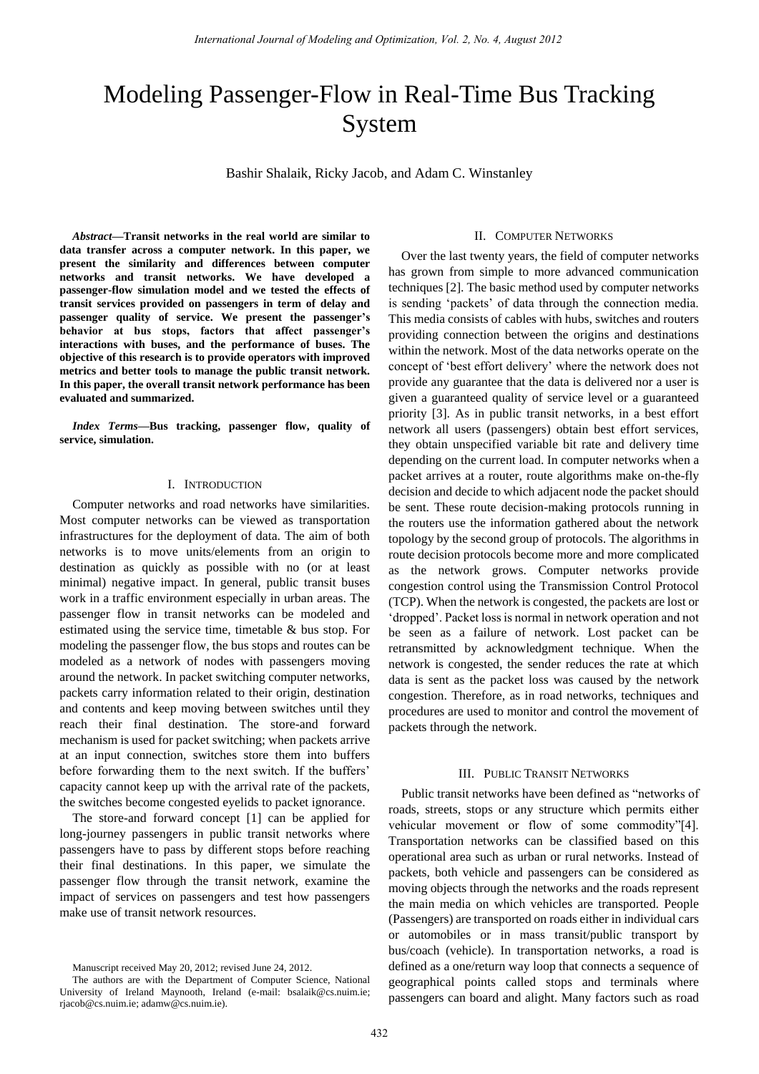# Modeling Passenger-Flow in Real-Time Bus Tracking System

Bashir Shalaik, Ricky Jacob, and Adam C. Winstanley

*Abstract***—Transit networks in the real world are similar to data transfer across a computer network. In this paper, we present the similarity and differences between computer networks and transit networks. We have developed a passenger-flow simulation model and we tested the effects of transit services provided on passengers in term of delay and passenger quality of service. We present the passenger's behavior at bus stops, factors that affect passenger's interactions with buses, and the performance of buses. The objective of this research is to provide operators with improved metrics and better tools to manage the public transit network. In this paper, the overall transit network performance has been evaluated and summarized.** 

*Index Terms***—Bus tracking, passenger flow, quality of service, simulation.** 

## I. INTRODUCTION

Computer networks and road networks have similarities. Most computer networks can be viewed as transportation infrastructures for the deployment of data. The aim of both networks is to move units/elements from an origin to destination as quickly as possible with no (or at least minimal) negative impact. In general, public transit buses work in a traffic environment especially in urban areas. The passenger flow in transit networks can be modeled and estimated using the service time, timetable & bus stop. For modeling the passenger flow, the bus stops and routes can be modeled as a network of nodes with passengers moving around the network. In packet switching computer networks, packets carry information related to their origin, destination and contents and keep moving between switches until they reach their final destination. The store-and forward mechanism is used for packet switching; when packets arrive at an input connection, switches store them into buffers before forwarding them to the next switch. If the buffers' capacity cannot keep up with the arrival rate of the packets, the switches become congested eyelids to packet ignorance.

The store-and forward concept [1] can be applied for long-journey passengers in public transit networks where passengers have to pass by different stops before reaching their final destinations. In this paper, we simulate the passenger flow through the transit network, examine the impact of services on passengers and test how passengers make use of transit network resources.

#### II. COMPUTER NETWORKS

Over the last twenty years, the field of computer networks has grown from simple to more advanced communication techniques [2]. The basic method used by computer networks is sending "packets" of data through the connection media. This media consists of cables with hubs, switches and routers providing connection between the origins and destinations within the network. Most of the data networks operate on the concept of "best effort delivery" where the network does not provide any guarantee that the data is delivered nor a user is given a guaranteed quality of service level or a guaranteed priority [3]. As in public transit networks, in a best effort network all users (passengers) obtain best effort services, they obtain unspecified variable bit rate and delivery time depending on the current load. In computer networks when a packet arrives at a router, route algorithms make on-the-fly decision and decide to which adjacent node the packet should be sent. These route decision-making protocols running in the routers use the information gathered about the network topology by the second group of protocols. The algorithms in route decision protocols become more and more complicated as the network grows. Computer networks provide congestion control using the Transmission Control Protocol (TCP). When the network is congested, the packets are lost or "dropped". Packet loss is normal in network operation and not be seen as a failure of network. Lost packet can be retransmitted by acknowledgment technique. When the network is congested, the sender reduces the rate at which data is sent as the packet loss was caused by the network congestion. Therefore, as in road networks, techniques and procedures are used to monitor and control the movement of packets through the network.

# III. PUBLIC TRANSIT NETWORKS

Public transit networks have been defined as "networks of roads, streets, stops or any structure which permits either vehicular movement or flow of some commodity"[4]. Transportation networks can be classified based on this operational area such as urban or rural networks. Instead of packets, both vehicle and passengers can be considered as moving objects through the networks and the roads represent the main media on which vehicles are transported. People (Passengers) are transported on roads either in individual cars or automobiles or in mass transit/public transport by bus/coach (vehicle). In transportation networks, a road is defined as a one/return way loop that connects a sequence of geographical points called stops and terminals where passengers can board and alight. Many factors such as road

Manuscript received May 20, 2012; revised June 24, 2012.

The authors are with the Department of Computer Science, National University of Ireland Maynooth, Ireland (e-mail: bsalaik@cs.nuim.ie; rjacob@cs.nuim.ie; adamw@cs.nuim.ie).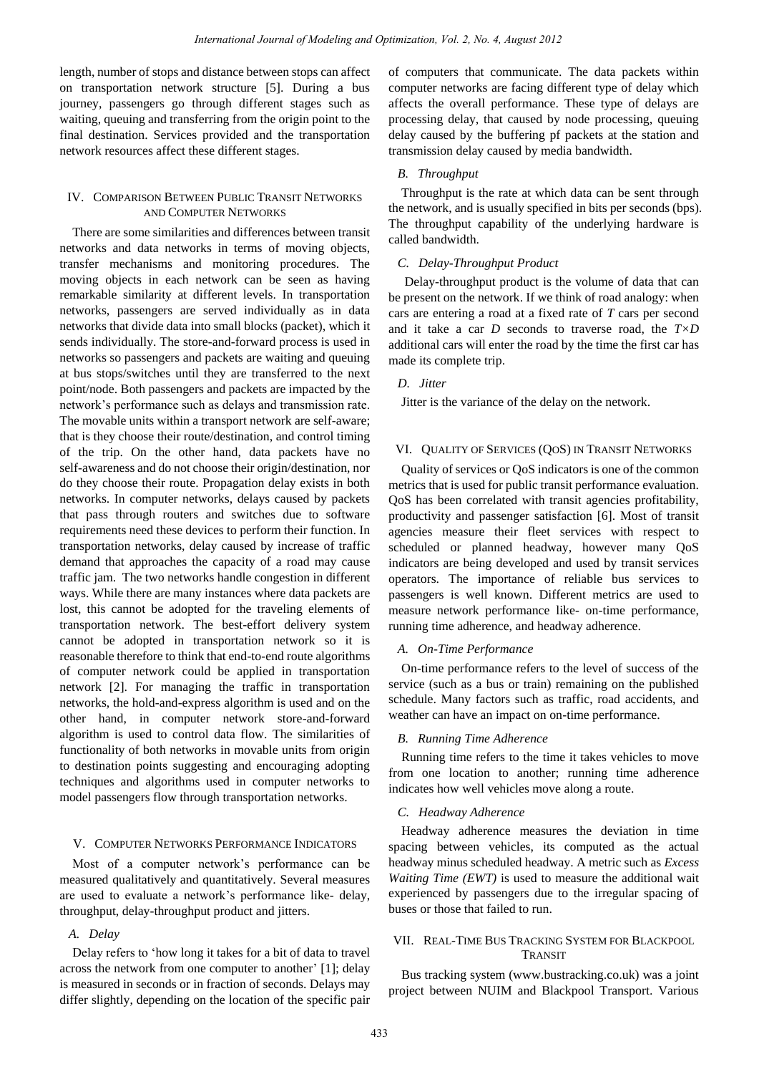length, number of stops and distance between stops can affect on transportation network structure [5]. During a bus journey, passengers go through different stages such as waiting, queuing and transferring from the origin point to the final destination. Services provided and the transportation network resources affect these different stages.

# IV. COMPARISON BETWEEN PUBLIC TRANSIT NETWORKS AND COMPUTER NETWORKS

There are some similarities and differences between transit networks and data networks in terms of moving objects, transfer mechanisms and monitoring procedures. The moving objects in each network can be seen as having remarkable similarity at different levels. In transportation networks, passengers are served individually as in data networks that divide data into small blocks (packet), which it sends individually. The store-and-forward process is used in networks so passengers and packets are waiting and queuing at bus stops/switches until they are transferred to the next point/node. Both passengers and packets are impacted by the network"s performance such as delays and transmission rate. The movable units within a transport network are self-aware; that is they choose their route/destination, and control timing of the trip. On the other hand, data packets have no self-awareness and do not choose their origin/destination, nor do they choose their route. Propagation delay exists in both networks. In computer networks, delays caused by packets that pass through routers and switches due to software requirements need these devices to perform their function. In transportation networks, delay caused by increase of traffic demand that approaches the capacity of a road may cause traffic jam. The two networks handle congestion in different ways. While there are many instances where data packets are lost, this cannot be adopted for the traveling elements of transportation network. The best-effort delivery system cannot be adopted in transportation network so it is reasonable therefore to think that end-to-end route algorithms of computer network could be applied in transportation network [2]. For managing the traffic in transportation networks, the hold-and-express algorithm is used and on the other hand, in computer network store-and-forward algorithm is used to control data flow. The similarities of functionality of both networks in movable units from origin to destination points suggesting and encouraging adopting techniques and algorithms used in computer networks to model passengers flow through transportation networks.

# V. COMPUTER NETWORKS PERFORMANCE INDICATORS

Most of a computer network"s performance can be measured qualitatively and quantitatively. Several measures are used to evaluate a network"s performance like- delay, throughput, delay-throughput product and jitters.

# *A. Delay*

Delay refers to "how long it takes for a bit of data to travel across the network from one computer to another' [1]; delay is measured in seconds or in fraction of seconds. Delays may differ slightly, depending on the location of the specific pair of computers that communicate. The data packets within computer networks are facing different type of delay which affects the overall performance. These type of delays are processing delay, that caused by node processing, queuing delay caused by the buffering pf packets at the station and transmission delay caused by media bandwidth.

# *B. Throughput*

Throughput is the rate at which data can be sent through the network, and is usually specified in bits per seconds (bps). The throughput capability of the underlying hardware is called bandwidth.

# *C. Delay-Throughput Product*

 Delay-throughput product is the volume of data that can be present on the network. If we think of road analogy: when cars are entering a road at a fixed rate of *T* cars per second and it take a car *D* seconds to traverse road, the *T×D* additional cars will enter the road by the time the first car has made its complete trip.

# *D. Jitter*

Jitter is the variance of the delay on the network.

## VI. QUALITY OF SERVICES (QOS) IN TRANSIT NETWORKS

Quality of services or QoS indicators is one of the common metrics that is used for public transit performance evaluation. QoS has been correlated with transit agencies profitability, productivity and passenger satisfaction [6]. Most of transit agencies measure their fleet services with respect to scheduled or planned headway, however many QoS indicators are being developed and used by transit services operators. The importance of reliable bus services to passengers is well known. Different metrics are used to measure network performance like- on-time performance, running time adherence, and headway adherence.

# *A. On-Time Performance*

On-time performance refers to the level of success of the service (such as a bus or train) remaining on the published schedule. Many factors such as traffic, road accidents, and weather can have an impact on on-time performance.

#### *B. Running Time Adherence*

Running time refers to the time it takes vehicles to move from one location to another; running time adherence indicates how well vehicles move along a route.

## *C. Headway Adherence*

Headway adherence measures the deviation in time spacing between vehicles, its computed as the actual headway minus scheduled headway. A metric such as *Excess Waiting Time (EWT)* is used to measure the additional wait experienced by passengers due to the irregular spacing of buses or those that failed to run.

## VII. REAL-TIME BUS TRACKING SYSTEM FOR BLACKPOOL TRANSIT

Bus tracking system (www.bustracking.co.uk) was a joint project between NUIM and Blackpool Transport. Various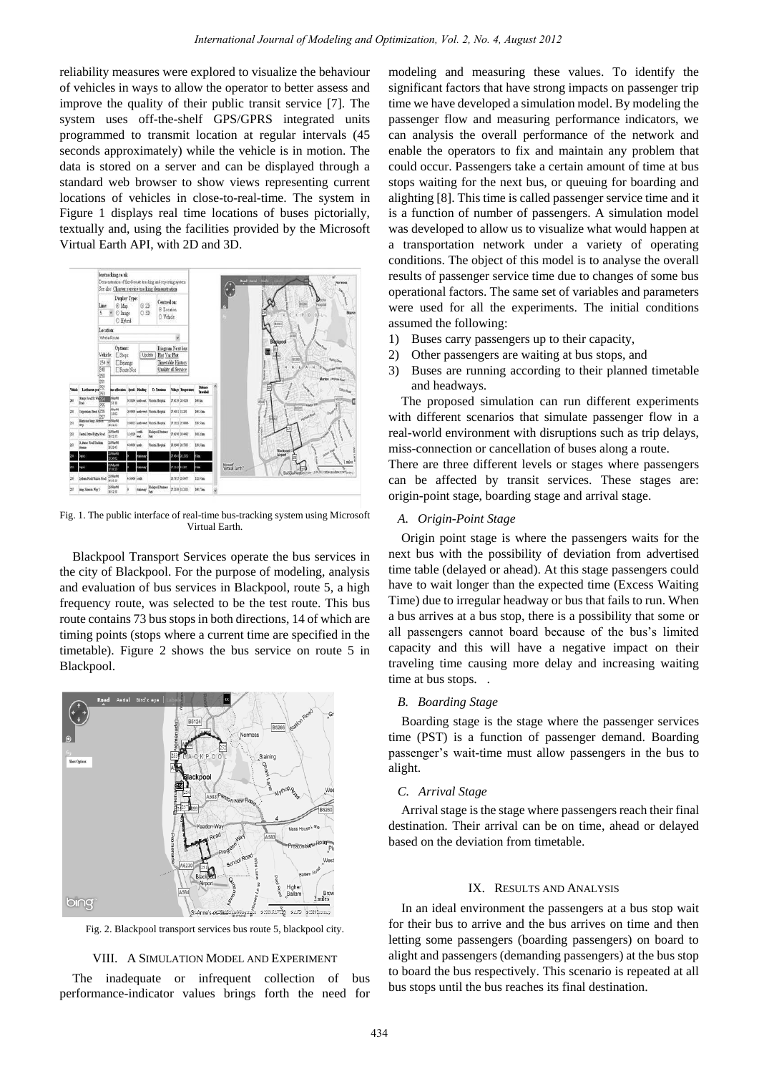reliability measures were explored to visualize the behaviour of vehicles in ways to allow the operator to better assess and improve the quality of their public transit service [7]. The system uses off-the-shelf GPS/GPRS integrated units programmed to transmit location at regular intervals (45 seconds approximately) while the vehicle is in motion. The data is stored on a server and can be displayed through a standard web browser to show views representing current locations of vehicles in close-to-real-time. The system in Figure 1 displays real time locations of buses pictorially, textually and, using the facilities provided by the Microsoft Virtual Earth API, with 2D and 3D.



Fig. 1. The public interface of real-time bus-tracking system using Microsoft Virtual Earth.

Blackpool Transport Services operate the bus services in the city of Blackpool. For the purpose of modeling, analysis and evaluation of bus services in Blackpool, route 5, a high frequency route, was selected to be the test route. This bus route contains 73 bus stops in both directions, 14 of which are timing points (stops where a current time are specified in the timetable). Figure 2 shows the bus service on route 5 in Blackpool.



Fig. 2. Blackpool transport services bus route 5, blackpool city.

## VIII. A SIMULATION MODEL AND EXPERIMENT

The inadequate or infrequent collection of bus performance-indicator values brings forth the need for

modeling and measuring these values. To identify the significant factors that have strong impacts on passenger trip time we have developed a simulation model. By modeling the passenger flow and measuring performance indicators, we can analysis the overall performance of the network and enable the operators to fix and maintain any problem that could occur. Passengers take a certain amount of time at bus stops waiting for the next bus, or queuing for boarding and alighting [8]. This time is called passenger service time and it is a function of number of passengers. A simulation model was developed to allow us to visualize what would happen at a transportation network under a variety of operating conditions. The object of this model is to analyse the overall results of passenger service time due to changes of some bus operational factors. The same set of variables and parameters were used for all the experiments. The initial conditions assumed the following:

- 1) Buses carry passengers up to their capacity,
- 2) Other passengers are waiting at bus stops, and
- 3) Buses are running according to their planned timetable and headways.

The proposed simulation can run different experiments with different scenarios that simulate passenger flow in a real-world environment with disruptions such as trip delays, miss-connection or cancellation of buses along a route.

There are three different levels or stages where passengers can be affected by transit services. These stages are: origin-point stage, boarding stage and arrival stage.

# *A. Origin-Point Stage*

Origin point stage is where the passengers waits for the next bus with the possibility of deviation from advertised time table (delayed or ahead). At this stage passengers could have to wait longer than the expected time (Excess Waiting Time) due to irregular headway or bus that fails to run. When a bus arrives at a bus stop, there is a possibility that some or all passengers cannot board because of the bus"s limited capacity and this will have a negative impact on their traveling time causing more delay and increasing waiting time at bus stops...

#### *B. Boarding Stage*

Boarding stage is the stage where the passenger services time (PST) is a function of passenger demand. Boarding passenger"s wait-time must allow passengers in the bus to alight.

## *C. Arrival Stage*

Arrival stage is the stage where passengers reach their final destination. Their arrival can be on time, ahead or delayed based on the deviation from timetable.

# IX. RESULTS AND ANALYSIS

In an ideal environment the passengers at a bus stop wait for their bus to arrive and the bus arrives on time and then letting some passengers (boarding passengers) on board to alight and passengers (demanding passengers) at the bus stop to board the bus respectively. This scenario is repeated at all bus stops until the bus reaches its final destination.